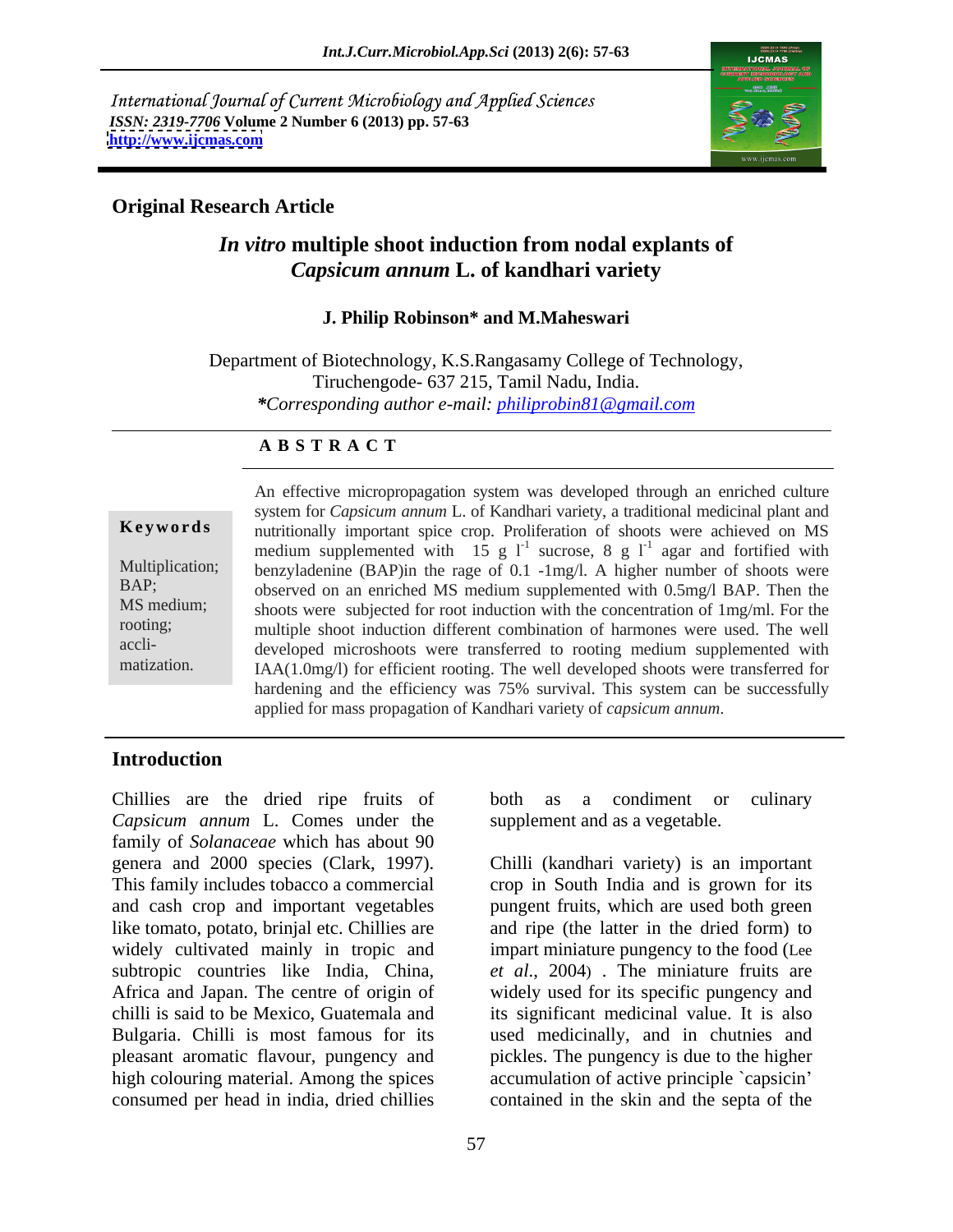International Journal of Current Microbiology and Applied Sciences *ISSN: 2319-7706* **Volume 2 Number 6 (2013) pp. 57-63 <http://www.ijcmas.com>**



### **Original Research Article**

# *In vitro* **multiple shoot induction from nodal explants of**  *Capsicum annum* **L. of kandhari variety**

### **J. Philip Robinson\* and M.Maheswari**

Department of Biotechnology, K.S.Rangasamy College of Technology, Tiruchengode- 637 215, Tamil Nadu, India. *\*Corresponding author e-mail: philiprobin81@gmail.com*

### **A B S T R A C T**

matization. IAA(1.0mg/l) for efficient rooting. The well developed shoots were transferred for **Keywords** nutritionally important spice crop. Proliferation of shoots were achieved on MS Multiplication; benzyladenine (BAP)in the rage of 0.1 -1mg/l. A higher number of shoots were BAP; observed on an enriched MS medium supplemented with 0.5mg/l BAP. Then the MS medium; shoots were subjected for root induction with the concentration of 1mg/ml. For the rooting; multiple shoot induction different combination of harmones were used. The well accli- developed microshoots were transferred to rooting medium supplemented with An effective micropropagation system was developed through an enriched culture system for *Capsicum annum* L. of Kandhari variety, a traditional medicinal plant and medium supplemented with  $15 \text{ g } l^1$  sucrose, 8 g  $l^1$  agar and fortified with agar and fortified with hardening and the efficiency was 75% survival. This system can be successfully applied for mass propagation of Kandhari variety of *capsicum annum*.

### **Introduction**

Chillies are the dried ripe fruits of both as a condiment or culinary *Capsicum annum* L. Comes under the family of *Solanaceae* which has about 90 genera and 2000 species (Clark, 1997). Chilli (kandhari variety) is an important This family includes tobacco a commercial crop in South India and is grown for its and cash crop and important vegetables pungent fruits, which are used both green like tomato, potato, brinjal etc. Chillies are and ripe (the latter in the dried form) to widely cultivated mainly in tropic and impart miniature pungency to the food (Lee subtropic countries like India, China, *et al*., 2004) . The miniature fruits are Africa and Japan. The centre of origin of widely used for its specific pungency and chilli is said to be Mexico, Guatemalaand its significant medicinal value. It is also Bulgaria. Chilli is most famous for its used medicinally, and in chutnies and pleasant aromatic flavour, pungency and pickles. The pungency is due to the higher high colouring material. Among the spices accumulation of active principle `capsicin' consumed per head in india, dried chillies contained in the skin and the septaof the

both as a condiment or culinary supplement and as a vegetable.

Chilli (kandhari variety) is an important crop in South India and is grown for its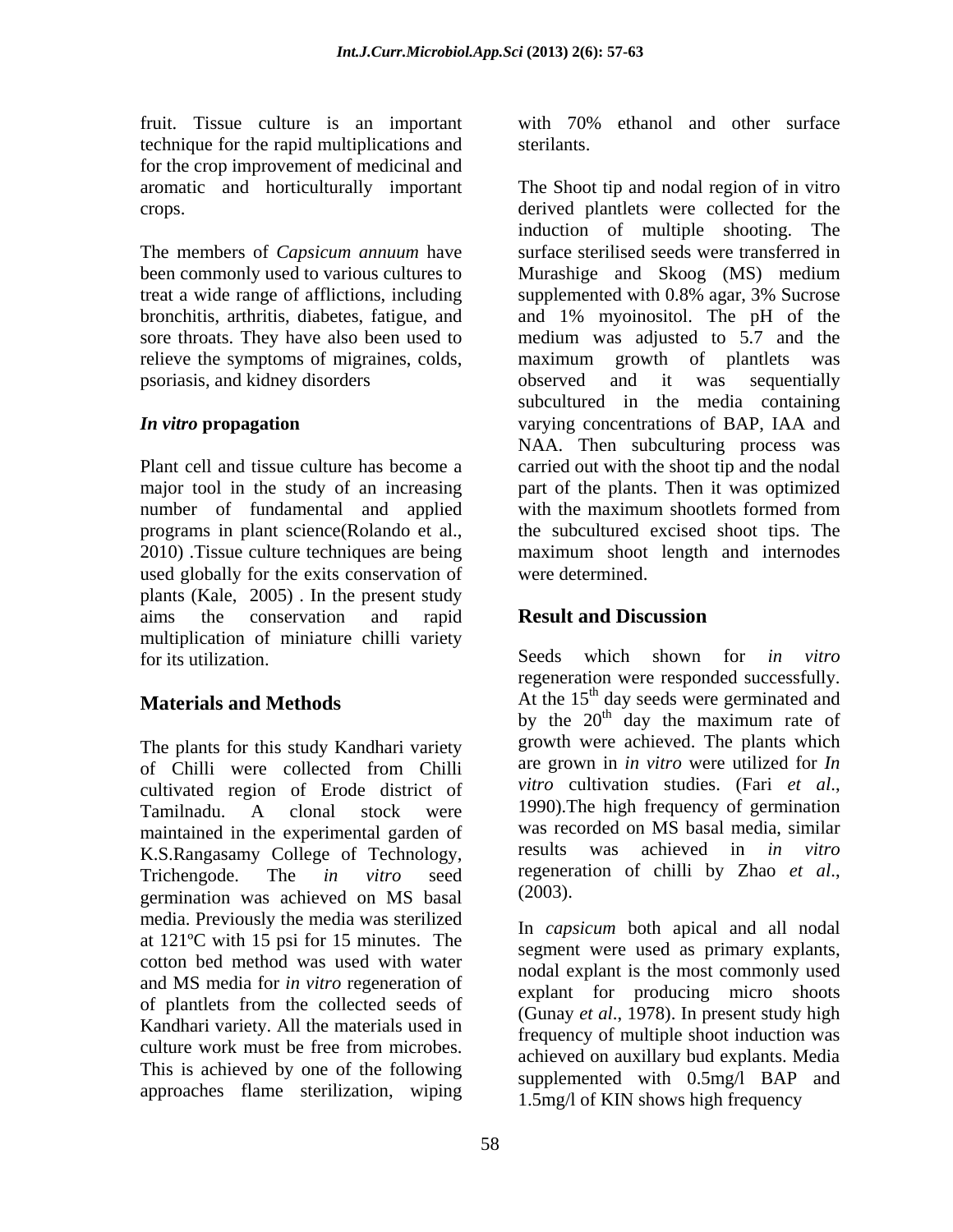technique for the rapid multiplications and for the crop improvement of medicinal and

treat a wide range of afflictions, including supplemented with 0.8% agar, 3% Sucrose psoriasis, and kidney disorders

number of fundamental and applied with the maximum shootlets formed from used globally for the exits conservation of plants (Kale, 2005) . In the present study aims the conservation and rapid **Result and Discussion** multiplication of miniature chilli variety<br>for its utilization Seeds which for its utilization. Seeds which shown for *in vitro* 

The plants for this study Kandhari variety of Chilli were collected from Chilli are grown in *in vitro* were utilized for *In* cultivated region of Erode district of *vitro* cultivation studies. (Fari *et al.*, Tamilnadu A clonal stock were 1990). The high frequency of germination Tamilnadu. A clonal stock were 1990). The high frequency of germination maintained in the experimental garden of was rec K.S.Rangasamy College of Technology, Trichengode. The *in vitro* seed regeneration of chilli by Zhao *et al.*, germination was achieved on MS basal media. Previously the media was sterilized at 121ºC with 15 psi for 15 minutes. The cotton bed method was used with water and MS media for *in vitro* regeneration of of plantlets from the collected seeds of Kandhari variety. All the materials used in culture work must be free from microbes.<br>achieved on auxillary bud explants. Media This is achieved by one of the following approaches flame sterilization, wiping

fruit. Tissue culture is an important with 70% ethanol and other surface with 70% ethanol and other surface sterilants.

aromatic and horticulturally important The Shoot tip and nodal region of in vitro crops. derived plantlets were collected for the The members of *Capsicum annuum* have surface sterilised seeds were transferred in been commonly used to various cultures to Murashige and Skoog (MS) medium bronchitis, arthritis, diabetes, fatigue, and and 1% myoinositol. The pH of the sore throats. They have also been used to medium was adjusted to 5.7 and the relieve the symptoms of migraines, colds, maximum growth of plantlets was *In vitro* **propagation** varying concentrations of BAP, IAA and Plant cell and tissue culture has become a carried out with the shoot tip and the nodal major tool in the study of an increasing part of the plants. Then it was optimized programs in plant science(Rolando et al., the subcultured excised shoot tips. The 2010) .Tissue culture techniques are being maximum shoot length and internodes induction of multiple shooting. The supplemented with 0.8% agar, 3% Sucrose observed and it was sequentially subcultured in the media containing NAA. Then subculturing process was with the maximum shootlets formed from were determined.

## **Result and Discussion**

**Materials and Methods** At the 15<sup>th</sup> day seeds were germinated and Seeds which shown for *in vitro* regeneration were responded successfully. by the  $20<sup>th</sup>$  day the maximum rate of <sup>th</sup> day the maximum rate of growth were achieved. The plants which are grown in *in vitro* were utilized for *In vitro* cultivation studies. (Fari *et al*., 1990).The high frequency of germination was recorded on MS basal media, similar was achieved in *in vitro* regeneration of chilli by Zhao *et al*., (2003).

> In *capsicum* both apical and all nodal segment were used as primary explants, nodal explant is the most commonly used explant for producing micro shoots (Gunay *et al*., 1978). In present study high frequency of multiple shoot induction was achieved on auxillary bud explants. Media supplemented with 0.5mg/l BAP and 1.5mg/l of KIN shows high frequency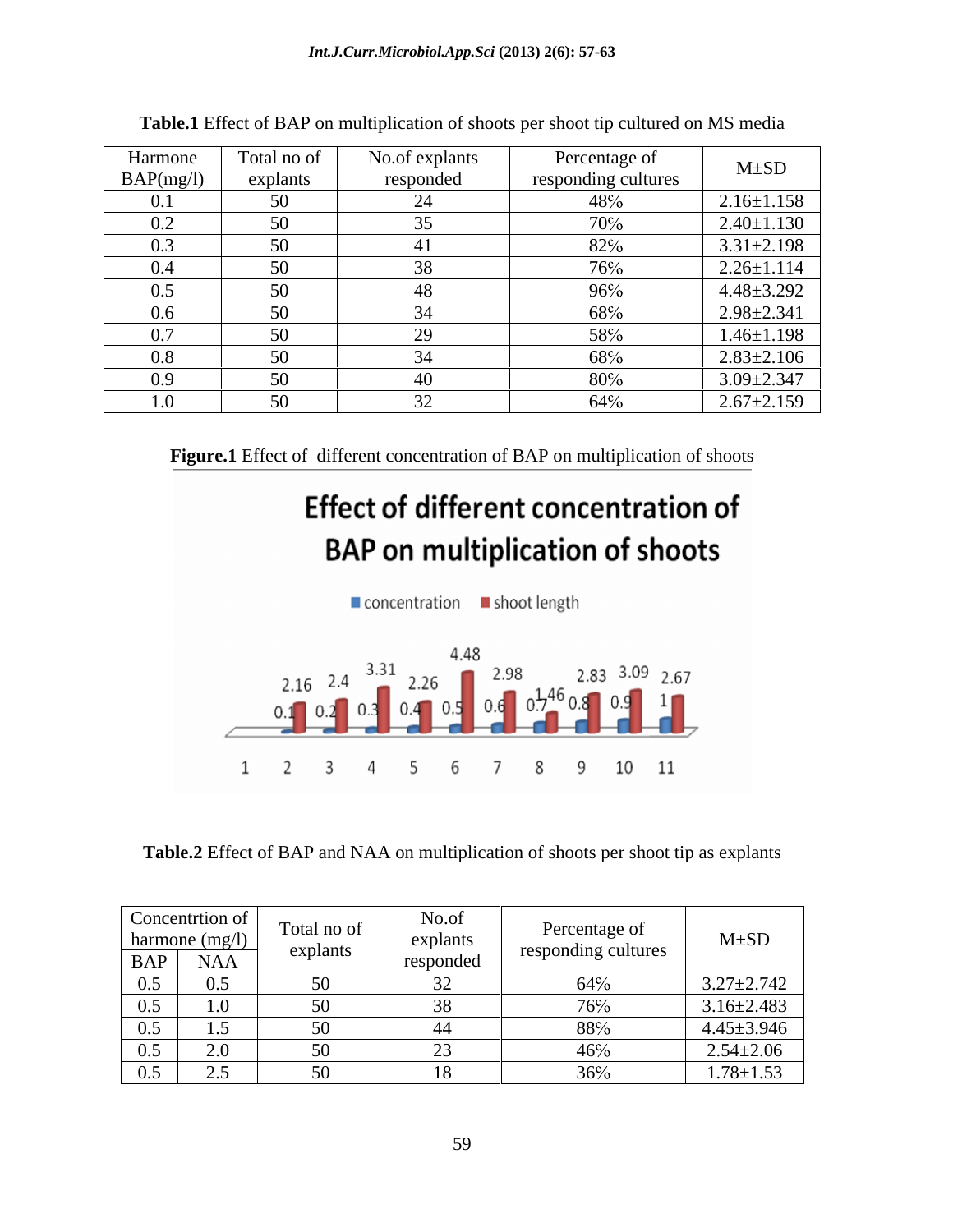| $ -$<br>Harmone | Total no of   | No.of explants | Percentage of       | $M \pm SD$       |
|-----------------|---------------|----------------|---------------------|------------------|
| BAP(mg/1)       | explants      | responded      | responding cultures |                  |
|                 | 50            |                | 48%                 | $2.16 \pm 1.158$ |
| U.Z             | 50            |                | $70\%$              | $2.40 \pm 1.130$ |
| 0.3             | 50            |                | 82%                 | $3.31 \pm 2.198$ |
| $0.4^{\circ}$   | 50            |                | 76%                 | $2.26 \pm 1.114$ |
| 0.5             | 50            |                | 96%                 | $4.48 \pm 3.292$ |
| 0.6             | 50<br>U       |                | 68%                 | $2.98 \pm 2.341$ |
| U.1             | 50            |                | 58%                 | $1.46 \pm 1.198$ |
| U.X             | 50            |                | 68%                 | $2.83 \pm 2.106$ |
|                 | 50            |                | $80\%$              | $3.09 \pm 2.347$ |
|                 | 50<br>$\cdot$ |                | 64%                 | $2.67 \pm 2.159$ |

**Table.1** Effect of BAP on multiplication of shoots per shoot tip cultured on MS media

 **Figure.1** Effect of different concentration of BAP on multiplication of shoots

# **Effect of different concentration of BAP** on multiplication of shoots



**Table.2** Effect of BAP and NAA on multiplication of shoots per shoot tip as explants

| Concentrion of<br>harmone (mg/l)<br>BAP NAA                    | Total no of<br>explants | No.of<br>explants<br>responded | Percentage of<br>responding cultures | $M \pm SD$       |
|----------------------------------------------------------------|-------------------------|--------------------------------|--------------------------------------|------------------|
| 0.5<br>0.5                                                     |                         |                                | 64%                                  | $3.27 \pm 2.742$ |
| 1.0<br>0.5                                                     |                         |                                | 700                                  | $3.16 \pm 2.483$ |
| $1\leq$<br>$\bigcap$ 5<br>U.J<br>$\mathbf{1} \cdot \mathbf{1}$ |                         |                                | 88%                                  | $4.45 \pm 3.946$ |
| 2.0<br>$\Omega$ 5<br>$\mathsf{U}.\mathsf{U}$                   |                         | $\sim$                         | 46%                                  | $2.54 \pm 2.06$  |
| 25<br>05<br>$\sim$<br>$\mathsf{v}.\mathsf{v}$                  | $\sim$                  |                                | $\sim$ $\sim$ $\sim$<br>30/0         | $1.78 \pm 1.53$  |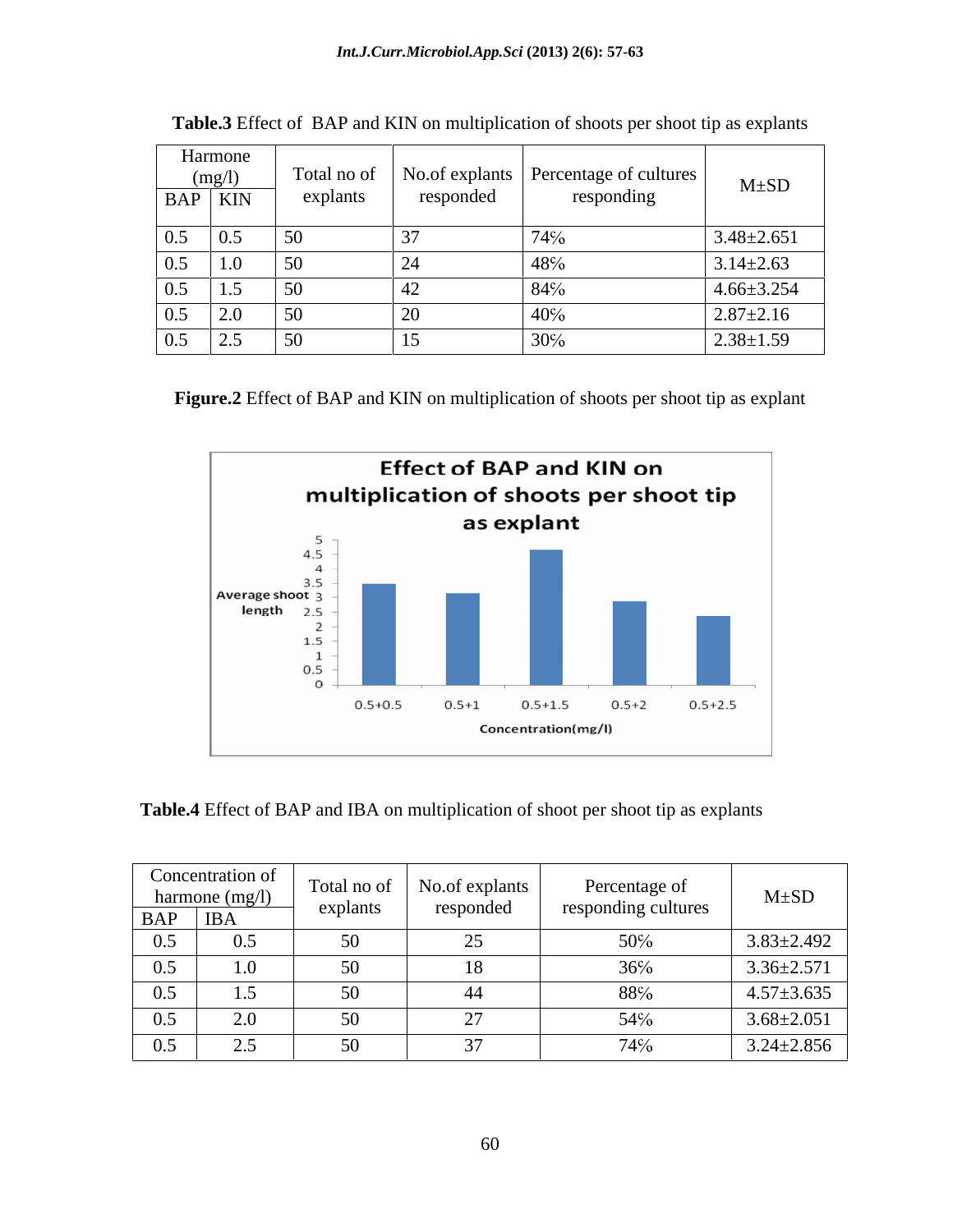| Harmone<br>(mg/l)<br>BAP KIN                                       | explants   | responded | Total no of   No.of explants   Percentage of cultures  <br>responding | $M \pm SD$       |
|--------------------------------------------------------------------|------------|-----------|-----------------------------------------------------------------------|------------------|
| 0.5<br>$\vert 0.5 \vert$                                           | - 50       |           |                                                                       | $3.48 \pm 2.651$ |
| $0.5$ 1.0                                                          | $\sim$     |           |                                                                       | $3.14 \pm 2.63$  |
| $\begin{array}{ c c c c c } \hline 0.5 & 1.5 \\\hline \end{array}$ |            |           |                                                                       | $4.66 \pm 3.254$ |
| $0.5$ 2.0                                                          | $\vert$ 50 |           |                                                                       | $2.87 \pm 2.16$  |
| 0.5<br>2.5                                                         | $\vert$ 50 |           | 20 <sup>o</sup><br>$30\%$                                             | $2.38 \pm 1.59$  |

| <b>Table.3</b> Effect of BAP and KIN on multiplication of shoots per shoot tip as explants |
|--------------------------------------------------------------------------------------------|
|--------------------------------------------------------------------------------------------|

**Figure.2** Effect of BAP and KIN on multiplication of shoots per shoot tip as explant



**Table.4** Effect of BAP and IBA on multiplication of shoot per shoot tip as explants

|     | Concentration of<br>$\begin{array}{c c}\n\text{harmonic (mg/l)} \\ \hline \text{BAP} & \text{IBA}\n\end{array}$ | Total no of<br>explan | No.of explants<br>responded | Percentage of<br>responding cultures | $M \pm SD$       |
|-----|-----------------------------------------------------------------------------------------------------------------|-----------------------|-----------------------------|--------------------------------------|------------------|
|     |                                                                                                                 |                       |                             |                                      |                  |
| 0.5 | 0.5                                                                                                             |                       | سد                          | 50%                                  | $3.83 \pm 2.492$ |
| 0.5 | 1.0                                                                                                             | $\sim$                | $\mathbf{1} \cup$           | 36%                                  | $3.36 \pm 2.571$ |
| 0.5 | $\cdot$                                                                                                         |                       | 44                          | 88%                                  | $4.57 \pm 3.635$ |
| 0.5 | $\sim$ $\sim$                                                                                                   | $\sim$ $\circ$        |                             | 54%                                  | $3.68 \pm 2.051$ |
| 0.5 | $\overline{\phantom{m}}\,$                                                                                      |                       | $\sim$ $\sim$               | 74%                                  | $3.24 \pm 2.856$ |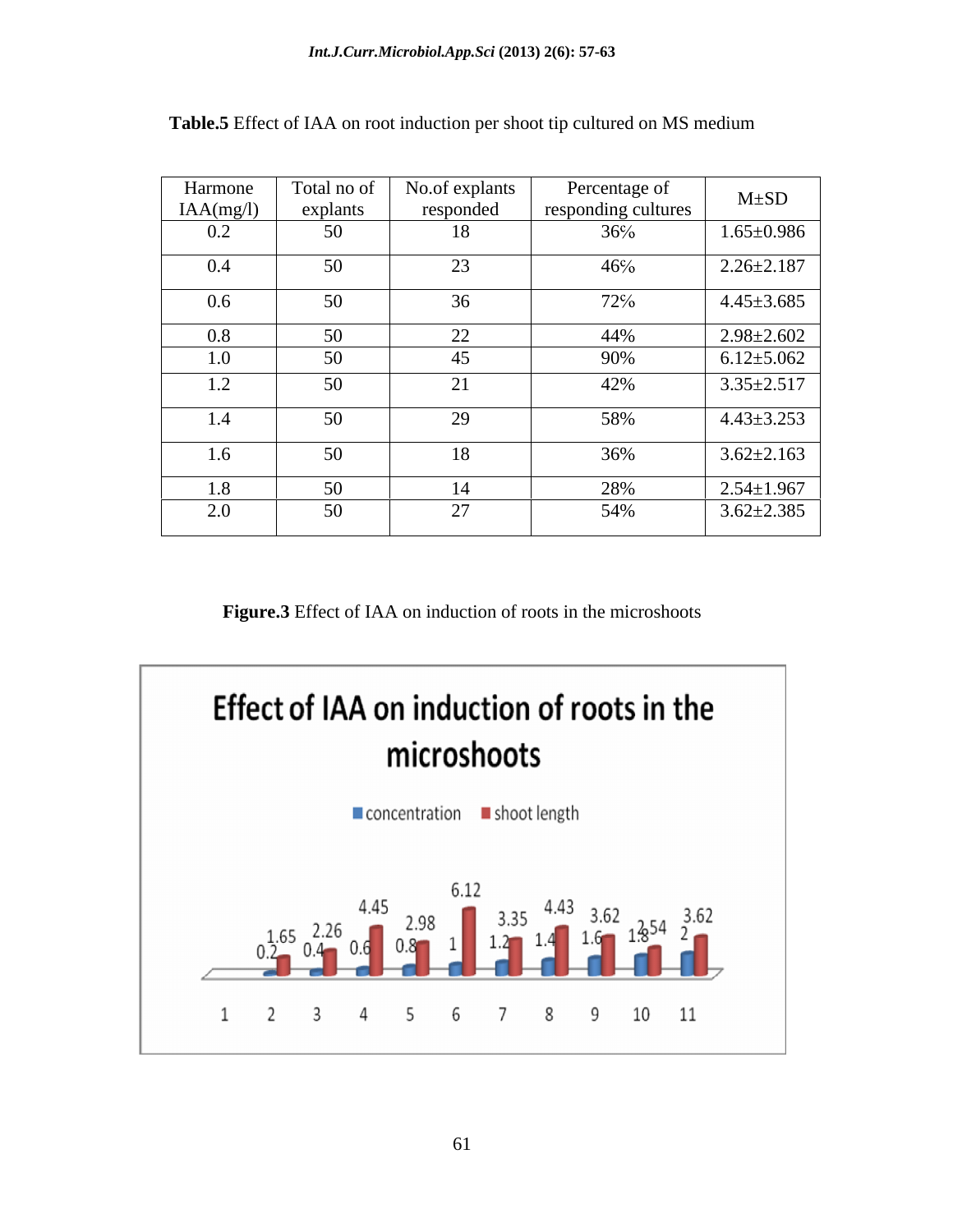| Harmone         | Total no of   | No.of explants                  | Percentage of       | $M \pm SD$       |
|-----------------|---------------|---------------------------------|---------------------|------------------|
| IAA(mg/l)       | explants      | responded                       | responding cultures |                  |
| $0.2\,$         | 50            | 18                              | 36%                 | $1.65 \pm 0.986$ |
| 0.4             | 50            | $\Omega$                        | 46%                 | $2.26 \pm 2.187$ |
| 0.6             | 50            | 36                              | 72%                 | $4.45 \pm 3.685$ |
| $0.8\,$         | 50            | $\Omega$<br>$\angle \angle$     | 44%                 | $2.98 \pm 2.602$ |
| 1.0             | 50            | ∸                               | 90%                 | $6.12{\pm}5.062$ |
| $1 \cap$<br>1.2 | 50            | $\sim$ $\sim$<br>$\overline{a}$ | 42%                 | $3.35 \pm 2.517$ |
| 1.4             | 50            | $\Omega$                        | 58%                 | $4.43 \pm 3.253$ |
| 1.6             | $50 -$<br>JV. | 1 <sub>O</sub><br>18            | 36%                 | $3.62 \pm 2.163$ |
| 1.8             | 50            |                                 | 28%                 | $2.54 \pm 1.967$ |
| 2.0             | 50            | $\sim$                          | 54%                 | $3.62 \pm 2.385$ |

**Table.5** Effect of IAA on root induction per shoot tip cultured on MS medium

**Figure.3** Effect of IAA on induction of roots in the microshoots

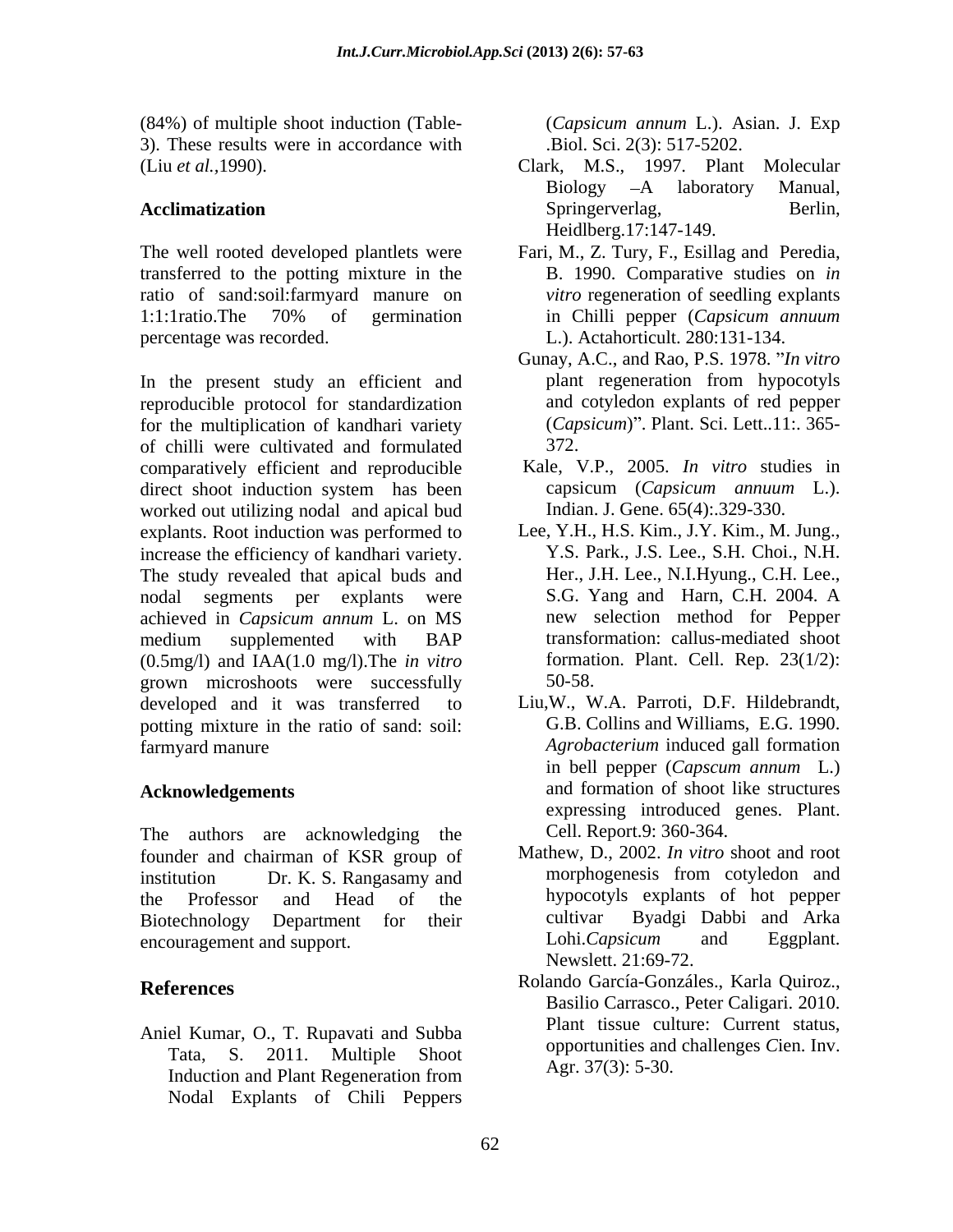(84%) of multiple shoot induction (Table- 3). These results were in accordance with

The well rooted developed plantlets were transferred to the potting mixture in the ratio of sand:soil:farmyard manure on 1:1:1 ratio. The 70% of germination in Chilli pepper (Capsicum annuum percentage was recorded. L.). Actahorticult. 280:131-134.

In the present study an efficient and plant regeneration from hypocotyls reproducible protocol for standardization for the multiplication of kandhari variety of chilli were cultivated and formulated comparatively efficient and reproducible direct shoot induction system has been worked out utilizing nodal and apical bud explants. Root induction was performed to increase the efficiency of kandhari variety. The study revealed that apical buds and nodal segments per explants were S.G. Yang and Harn, C.H. 2004. A achieved in *Capsicum annum* L. on MS medium supplemented with BAP (0.5mg/l) and IAA(1.0 mg/l).The *in vitro* grown microshoots were successfully 50-58. developed and it was transferred to potting mixture in the ratio of sand: soil: farmyard manure *Agrobacterium* induced gall formation

The authors are acknowledging the founder and chairman of KSR group of encouragement and support. Lohi.Capsicum and Eggplant.

Aniel Kumar, O., T. Rupavati and Subba Induction and Plant Regeneration from  $\mathbb{R}^{11}$ ,  $\mathbb{R}^{11}$ ,  $\mathbb{R}^{11}$ ,  $\mathbb{R}^{11}$ ,  $\mathbb{R}^{11}$ ,  $\mathbb{R}^{11}$ Nodal Explants of Chili Peppers

(*Capsicum annum* L.). Asian. J. Exp .Biol. Sci. 2(3): 517-5202.

- (Liu *et al.,*1990). Clark, M.S., 1997. Plant Molecular Acclimatization **Acclimatization** Springerverlag, Berlin, Biology -A laboratory Manual, Springerverlag, Berlin, Heidlberg.17:147-149.
	- Fari, M., Z. Tury, F., Esillag and Peredia, B. 1990. Comparative studies on *in vitro* regeneration of seedling explants in Chilli pepper (*Capsicum annuum*
	- Gunay, A.C., and Rao, P.S. 1978. *In vitro*  plant regeneration from hypocotyls and cotyledon explants of red pepper (*Capsicum*) . Plant. Sci. Lett..11:. 365- 372.
	- Kale, V.P., 2005. *In vitro* studies in capsicum (*Capsicum annuum* L.). Indian. J. Gene. 65(4):.329-330.
	- Lee, Y.H., H.S. Kim., J.Y. Kim., M. Jung., Y.S. Park., J.S. Lee., S.H. Choi., N.H. Her., J.H. Lee., N.I.Hyung., C.H. Lee., new selection method for Pepper transformation: callus-mediated shoot formation. Plant. Cell. Rep. 23(1/2): 50-58.
- **Acknowledgements** and formation of shoot like structures Liu,W., W.A. Parroti, D.F. Hildebrandt, G.B. Collins and Williams, E.G. 1990. in bell pepper (*Capscum annum* L.) expressing introduced genes. Plant. Cell. Report.9: 360-364.
- institution Dr. K. S. Rangasamy and morphogenesis from cotyledon and the Professor and Head of the hypocotyls explants of hot pepper Biotechnology Department for their cultivar Byadgi Dabbi and Arka Mathew, D., 2002. *In vitro* shoot and root cultivar Byadgi Dabbi and Arka Lohi.*Capsicum* and Eggplant. Newslett. 21:69-72.
- **References** Rolando García-Gonzáles., Karla Quiroz., Tata, S. 2011. Multiple Shoot by opportunities and changies Cien. Inv. Basilio Carrasco., Peter Caligari. 2010. Plant tissue culture: Current status, opportunities and challenges *C*ien. Inv. Agr. 37(3): 5-30.